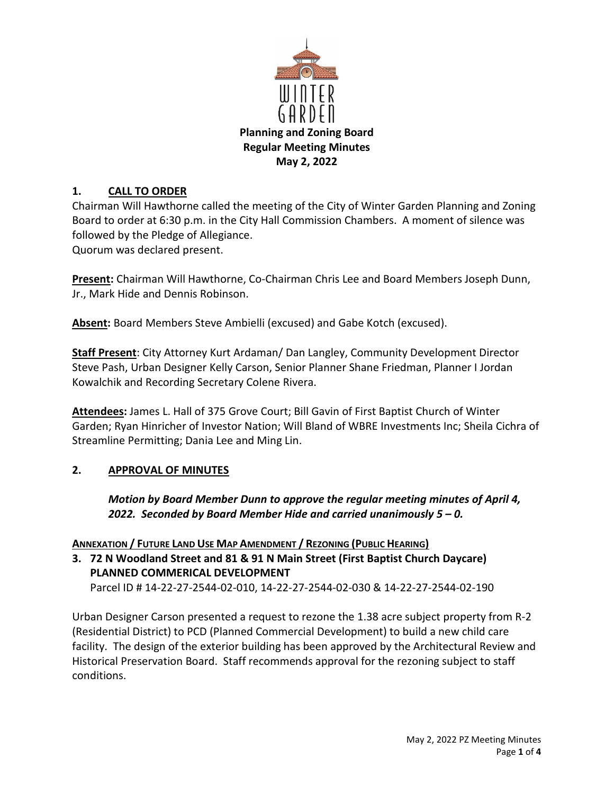

# **1. CALL TO ORDER**

Chairman Will Hawthorne called the meeting of the City of Winter Garden Planning and Zoning Board to order at 6:30 p.m. in the City Hall Commission Chambers. A moment of silence was followed by the Pledge of Allegiance. Quorum was declared present.

**Present:** Chairman Will Hawthorne, Co-Chairman Chris Lee and Board Members Joseph Dunn, Jr., Mark Hide and Dennis Robinson.

**Absent:** Board Members Steve Ambielli (excused) and Gabe Kotch (excused).

**Staff Present**: City Attorney Kurt Ardaman/ Dan Langley, Community Development Director Steve Pash, Urban Designer Kelly Carson, Senior Planner Shane Friedman, Planner I Jordan Kowalchik and Recording Secretary Colene Rivera.

**Attendees:** James L. Hall of 375 Grove Court; Bill Gavin of First Baptist Church of Winter Garden; Ryan Hinricher of Investor Nation; Will Bland of WBRE Investments Inc; Sheila Cichra of Streamline Permitting; Dania Lee and Ming Lin.

## **2. APPROVAL OF MINUTES**

*Motion by Board Member Dunn to approve the regular meeting minutes of April 4, 2022. Seconded by Board Member Hide and carried unanimously 5 – 0.* 

## **ANNEXATION / FUTURE LAND USE MAP AMENDMENT / REZONING (PUBLIC HEARING)**

**3. 72 N Woodland Street and 81 & 91 N Main Street (First Baptist Church Daycare) PLANNED COMMERICAL DEVELOPMENT** 

Parcel ID # 14-22-27-2544-02-010, 14-22-27-2544-02-030 & 14-22-27-2544-02-190

Urban Designer Carson presented a request to rezone the 1.38 acre subject property from R-2 (Residential District) to PCD (Planned Commercial Development) to build a new child care facility. The design of the exterior building has been approved by the Architectural Review and Historical Preservation Board. Staff recommends approval for the rezoning subject to staff conditions.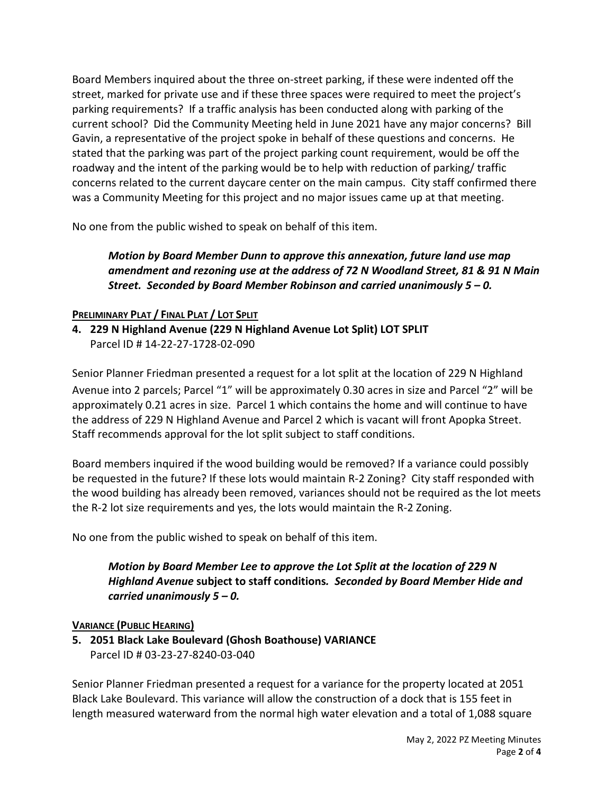Board Members inquired about the three on-street parking, if these were indented off the street, marked for private use and if these three spaces were required to meet the project's parking requirements? If a traffic analysis has been conducted along with parking of the current school? Did the Community Meeting held in June 2021 have any major concerns? Bill Gavin, a representative of the project spoke in behalf of these questions and concerns. He stated that the parking was part of the project parking count requirement, would be off the roadway and the intent of the parking would be to help with reduction of parking/ traffic concerns related to the current daycare center on the main campus. City staff confirmed there was a Community Meeting for this project and no major issues came up at that meeting.

No one from the public wished to speak on behalf of this item.

## *Motion by Board Member Dunn to approve this annexation, future land use map amendment and rezoning use at the address of 72 N Woodland Street, 81 & 91 N Main Street. Seconded by Board Member Robinson and carried unanimously 5 – 0.*

### **PRELIMINARY PLAT / FINAL PLAT / LOT SPLIT**

**4. 229 N Highland Avenue (229 N Highland Avenue Lot Split) LOT SPLIT**  Parcel ID # 14-22-27-1728-02-090

Senior Planner Friedman presented a request for a lot split at the location of 229 N Highland Avenue into 2 parcels; Parcel "1" will be approximately 0.30 acres in size and Parcel "2" will be approximately 0.21 acres in size. Parcel 1 which contains the home and will continue to have the address of 229 N Highland Avenue and Parcel 2 which is vacant will front Apopka Street. Staff recommends approval for the lot split subject to staff conditions.

Board members inquired if the wood building would be removed? If a variance could possibly be requested in the future? If these lots would maintain R-2 Zoning? City staff responded with the wood building has already been removed, variances should not be required as the lot meets the R-2 lot size requirements and yes, the lots would maintain the R-2 Zoning.

No one from the public wished to speak on behalf of this item.

### *Motion by Board Member Lee to approve the Lot Split at the location of 229 N Highland Avenue* **subject to staff conditions***. Seconded by Board Member Hide and carried unanimously 5 – 0.*

### **VARIANCE (PUBLIC HEARING)**

**5. 2051 Black Lake Boulevard (Ghosh Boathouse) VARIANCE**  Parcel ID # 03-23-27-8240-03-040

Senior Planner Friedman presented a request for a variance for the property located at 2051 Black Lake Boulevard. This variance will allow the construction of a dock that is 155 feet in length measured waterward from the normal high water elevation and a total of 1,088 square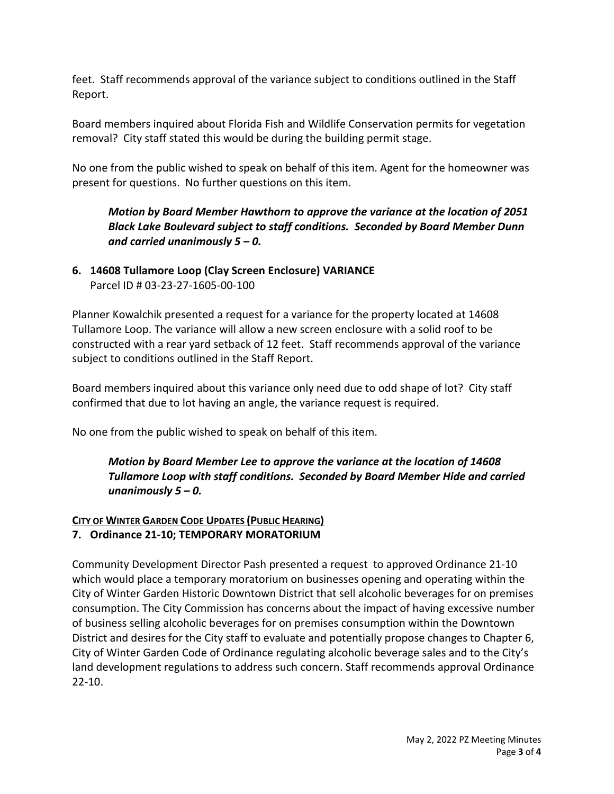feet. Staff recommends approval of the variance subject to conditions outlined in the Staff Report.

Board members inquired about Florida Fish and Wildlife Conservation permits for vegetation removal? City staff stated this would be during the building permit stage.

No one from the public wished to speak on behalf of this item. Agent for the homeowner was present for questions. No further questions on this item.

*Motion by Board Member Hawthorn to approve the variance at the location of 2051 Black Lake Boulevard subject to staff conditions. Seconded by Board Member Dunn and carried unanimously 5 – 0.* 

**6. 14608 Tullamore Loop (Clay Screen Enclosure) VARIANCE**  Parcel ID # 03-23-27-1605-00-100

Planner Kowalchik presented a request for a variance for the property located at 14608 Tullamore Loop. The variance will allow a new screen enclosure with a solid roof to be constructed with a rear yard setback of 12 feet. Staff recommends approval of the variance subject to conditions outlined in the Staff Report.

Board members inquired about this variance only need due to odd shape of lot? City staff confirmed that due to lot having an angle, the variance request is required.

No one from the public wished to speak on behalf of this item.

*Motion by Board Member Lee to approve the variance at the location of 14608 Tullamore Loop with staff conditions. Seconded by Board Member Hide and carried unanimously 5 – 0.* 

## **CITY OF WINTER GARDEN CODE UPDATES (PUBLIC HEARING)**

### **7. Ordinance 21-10; TEMPORARY MORATORIUM**

Community Development Director Pash presented a request to approved Ordinance 21-10 which would place a temporary moratorium on businesses opening and operating within the City of Winter Garden Historic Downtown District that sell alcoholic beverages for on premises consumption. The City Commission has concerns about the impact of having excessive number of business selling alcoholic beverages for on premises consumption within the Downtown District and desires for the City staff to evaluate and potentially propose changes to Chapter 6, City of Winter Garden Code of Ordinance regulating alcoholic beverage sales and to the City's land development regulations to address such concern. Staff recommends approval Ordinance 22-10.